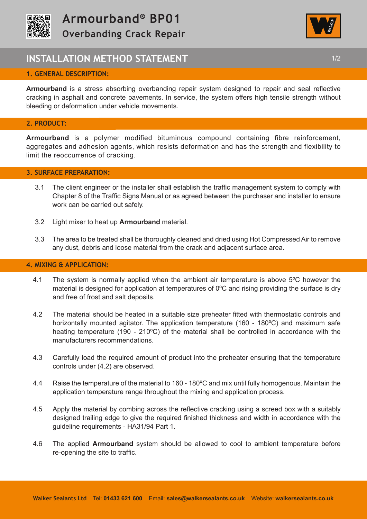



## **INSTALLATION METHOD STATEMENT 1/2 1/2**

## **1. GENERAL DESCRIPTION:**

**Armourband** is a stress absorbing overbanding repair system designed to repair and seal reflective cracking in asphalt and concrete pavements. In service, the system offers high tensile strength without bleeding or deformation under vehicle movements.

## **2. PRODUCT:**

**Armourband** is a polymer modified bituminous compound containing fibre reinforcement, aggregates and adhesion agents, which resists deformation and has the strength and flexibility to limit the reoccurrence of cracking.

### **3. SURFACE PREPARATION:**

- 3.1 The client engineer or the installer shall establish the traffic management system to comply with Chapter 8 of the Traffic Signs Manual or as agreed between the purchaser and installer to ensure work can be carried out safely.
- 3.2 Light mixer to heat up **Armourband** material.
- 3.3 The area to be treated shall be thoroughly cleaned and dried using Hot Compressed Air to remove any dust, debris and loose material from the crack and adjacent surface area.

### **4. MIXING & APPLICATION:**

- 4.1 The system is normally applied when the ambient air temperature is above 5<sup>o</sup>C however the material is designed for application at temperatures of 0ºC and rising providing the surface is dry and free of frost and salt deposits.
- 4.2 The material should be heated in a suitable size preheater fitted with thermostatic controls and horizontally mounted agitator. The application temperature (160 - 180°C) and maximum safe heating temperature (190 - 210°C) of the material shall be controlled in accordance with the manufacturers recommendations.
- 4.3 Carefully load the required amount of product into the preheater ensuring that the temperature controls under (4.2) are observed.
- 4.4 Raise the temperature of the material to 160 180ºC and mix until fully homogenous. Maintain the application temperature range throughout the mixing and application process.
- 4.5 Apply the material by combing across the reflective cracking using a screed box with a suitably designed trailing edge to give the required finished thickness and width in accordance with the guideline requirements - HA31/94 Part 1.
- 4.6 The applied **Armourband** system should be allowed to cool to ambient temperature before re-opening the site to traffic.